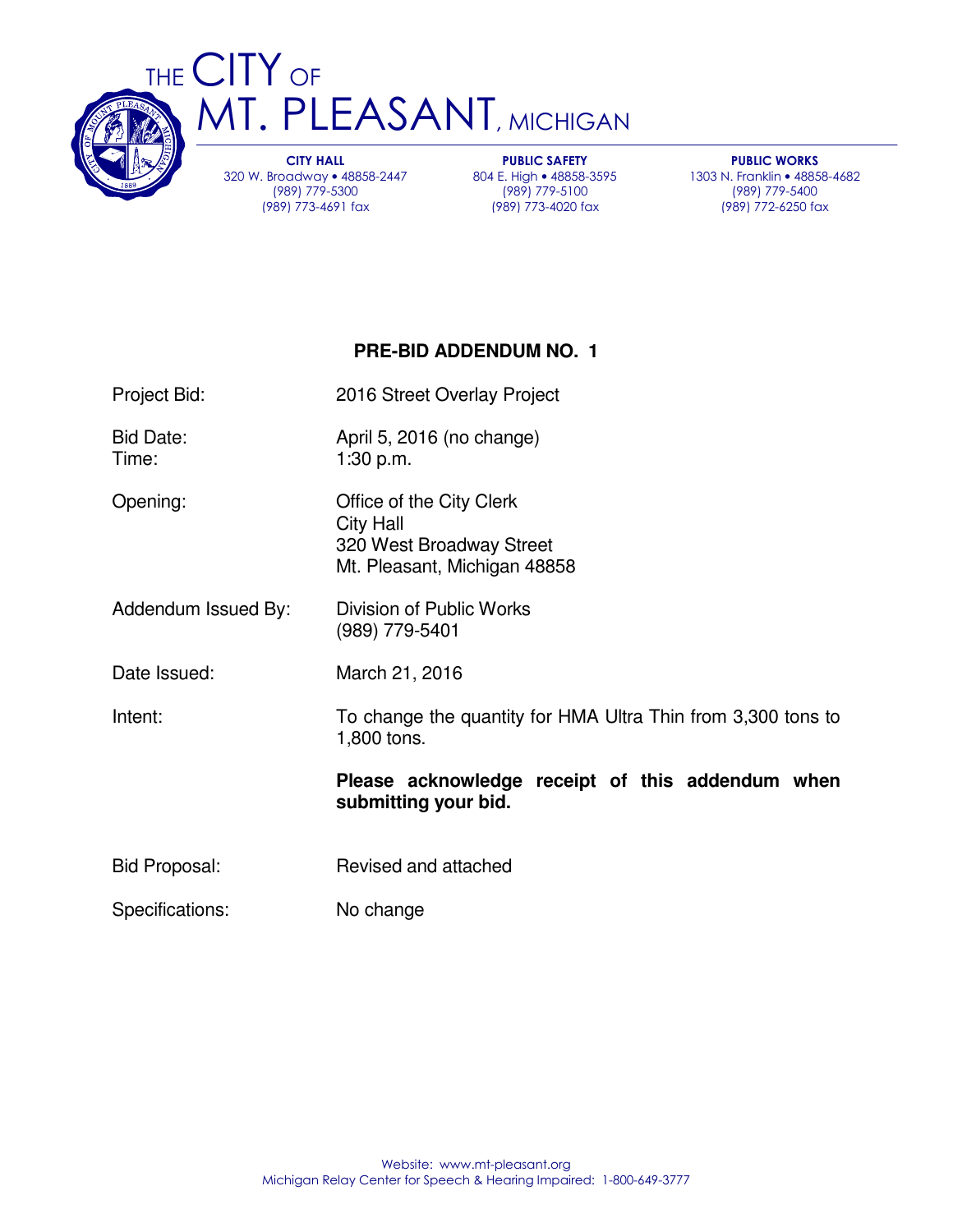

THE CITY OF T. PLEASANT, MICHIGAN

> CITY HALL 320 W. Broadway • 48858-2447 (989) 779-5300 (989) 773-4691 fax

PUBLIC SAFETY 804 E. High • 48858-3595 (989) 779-5100 (989) 773-4020 fax

PUBLIC WORKS 1303 N. Franklin • 48858-4682 (989) 779-5400 (989) 772-6250 fax

## **PRE-BID ADDENDUM NO. 1**

Project Bid: 2016 Street Overlay Project

Bid Date: April 5, 2016 (no change) Time: 1:30 p.m.

Opening: Office of the City Clerk

Addendum Issued By: Division of Public Works

(989) 779-5401

 320 West Broadway Street Mt. Pleasant, Michigan 48858

City Hall

Date Issued: March 21, 2016

Intent: To change the quantity for HMA Ultra Thin from 3,300 tons to 1,800 tons.

### **Please acknowledge receipt of this addendum when submitting your bid.**

Bid Proposal: Revised and attached

Specifications: No change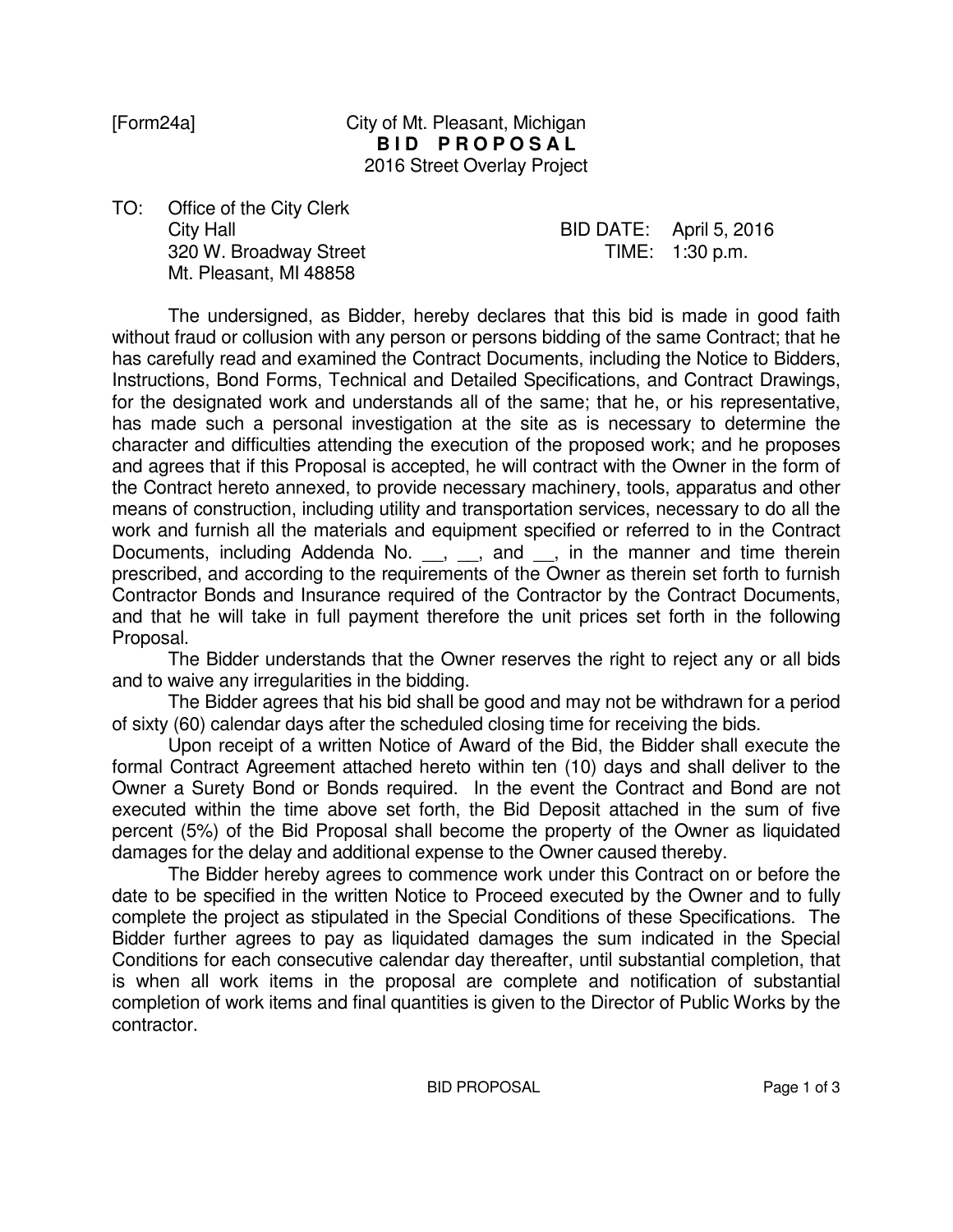### [Form24a] City of Mt. Pleasant, Michigan **BID PROPOSAL** 2016 Street Overlay Project

TO: Office of the City Clerk 320 W. Broadway Street TIME: 1:30 p.m. Mt. Pleasant, MI 48858

# City Hall BID DATE: April 5, 2016

 The undersigned, as Bidder, hereby declares that this bid is made in good faith without fraud or collusion with any person or persons bidding of the same Contract; that he has carefully read and examined the Contract Documents, including the Notice to Bidders, Instructions, Bond Forms, Technical and Detailed Specifications, and Contract Drawings, for the designated work and understands all of the same; that he, or his representative, has made such a personal investigation at the site as is necessary to determine the character and difficulties attending the execution of the proposed work; and he proposes and agrees that if this Proposal is accepted, he will contract with the Owner in the form of the Contract hereto annexed, to provide necessary machinery, tools, apparatus and other means of construction, including utility and transportation services, necessary to do all the work and furnish all the materials and equipment specified or referred to in the Contract Documents, including Addenda No. \_\_, \_\_, and \_\_, in the manner and time therein prescribed, and according to the requirements of the Owner as therein set forth to furnish Contractor Bonds and Insurance required of the Contractor by the Contract Documents, and that he will take in full payment therefore the unit prices set forth in the following Proposal.

 The Bidder understands that the Owner reserves the right to reject any or all bids and to waive any irregularities in the bidding.

 The Bidder agrees that his bid shall be good and may not be withdrawn for a period of sixty (60) calendar days after the scheduled closing time for receiving the bids.

 Upon receipt of a written Notice of Award of the Bid, the Bidder shall execute the formal Contract Agreement attached hereto within ten (10) days and shall deliver to the Owner a Surety Bond or Bonds required. In the event the Contract and Bond are not executed within the time above set forth, the Bid Deposit attached in the sum of five percent (5%) of the Bid Proposal shall become the property of the Owner as liquidated damages for the delay and additional expense to the Owner caused thereby.

 The Bidder hereby agrees to commence work under this Contract on or before the date to be specified in the written Notice to Proceed executed by the Owner and to fully complete the project as stipulated in the Special Conditions of these Specifications. The Bidder further agrees to pay as liquidated damages the sum indicated in the Special Conditions for each consecutive calendar day thereafter, until substantial completion, that is when all work items in the proposal are complete and notification of substantial completion of work items and final quantities is given to the Director of Public Works by the contractor.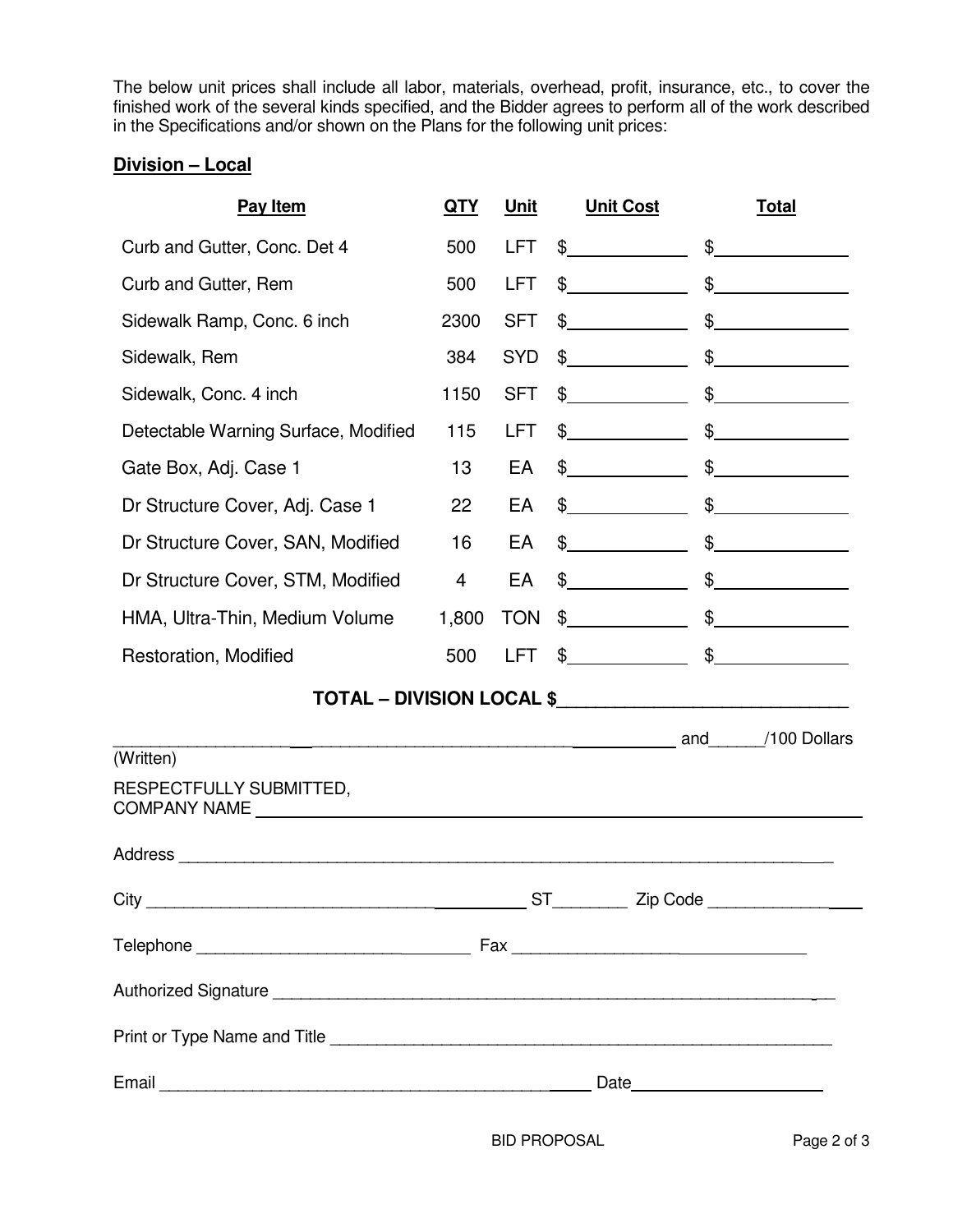The below unit prices shall include all labor, materials, overhead, profit, insurance, etc., to cover the finished work of the several kinds specified, and the Bidder agrees to perform all of the work described in the Specifications and/or shown on the Plans for the following unit prices:

### **Division – Local**

| Pay Item                                                   | <b>QTY</b> | Unit       | <b>Unit Cost</b>                                                                                                      | <b>Total</b>   |  |  |  |  |
|------------------------------------------------------------|------------|------------|-----------------------------------------------------------------------------------------------------------------------|----------------|--|--|--|--|
| Curb and Gutter, Conc. Det 4                               | 500        | <b>LFT</b> | $\frac{1}{2}$                                                                                                         | $\frac{1}{2}$  |  |  |  |  |
| Curb and Gutter, Rem                                       | 500        | <b>LFT</b> | $\frac{1}{2}$                                                                                                         | $\frac{1}{2}$  |  |  |  |  |
| Sidewalk Ramp, Conc. 6 inch                                | 2300       | <b>SFT</b> | $\frac{1}{2}$                                                                                                         | $\frac{1}{2}$  |  |  |  |  |
| Sidewalk, Rem                                              | 384        | <b>SYD</b> | $\frac{1}{2}$                                                                                                         | $\frac{1}{2}$  |  |  |  |  |
| Sidewalk, Conc. 4 inch                                     | 1150       | <b>SFT</b> | $\frac{1}{2}$                                                                                                         | $\frac{1}{2}$  |  |  |  |  |
| Detectable Warning Surface, Modified                       | 115        | LFT.       | $\frac{1}{2}$                                                                                                         | $\frac{1}{2}$  |  |  |  |  |
| Gate Box, Adj. Case 1                                      | 13         | EA         | $\frac{1}{2}$                                                                                                         | $\mathfrak{S}$ |  |  |  |  |
| Dr Structure Cover, Adj. Case 1                            | 22         | EA         | $\frac{1}{2}$                                                                                                         | $\mathbb{S}$   |  |  |  |  |
| Dr Structure Cover, SAN, Modified                          | 16         | EA         | $\frac{1}{2}$                                                                                                         | $\frac{1}{2}$  |  |  |  |  |
| Dr Structure Cover, STM, Modified                          | 4          | EA         | $\frac{1}{2}$                                                                                                         | $\frac{1}{2}$  |  |  |  |  |
| HMA, Ultra-Thin, Medium Volume                             | 1,800      | <b>TON</b> | $\frac{1}{2}$                                                                                                         | $\frac{1}{2}$  |  |  |  |  |
| Restoration, Modified                                      | 500        | LFT        | $\frac{1}{2}$                                                                                                         | $\frac{1}{2}$  |  |  |  |  |
| TOTAL - DIVISION LOCAL \$_________________________________ |            |            |                                                                                                                       |                |  |  |  |  |
|                                                            |            |            | <u>2008 - Andrea Brenne, andrea Brenne, andrea Brenne, andrea Brenne, andrea Brenne, andrea Brenne, andrea Brenne</u> | /100 Dollars   |  |  |  |  |
| (Written)                                                  |            |            |                                                                                                                       |                |  |  |  |  |
| RESPECTFULLY SUBMITTED,                                    |            |            |                                                                                                                       |                |  |  |  |  |
|                                                            |            |            |                                                                                                                       |                |  |  |  |  |
|                                                            |            |            |                                                                                                                       |                |  |  |  |  |
|                                                            |            |            |                                                                                                                       |                |  |  |  |  |
|                                                            |            |            |                                                                                                                       |                |  |  |  |  |
|                                                            |            |            |                                                                                                                       |                |  |  |  |  |
|                                                            |            |            |                                                                                                                       |                |  |  |  |  |

BID PROPOSAL Page 2 of 3